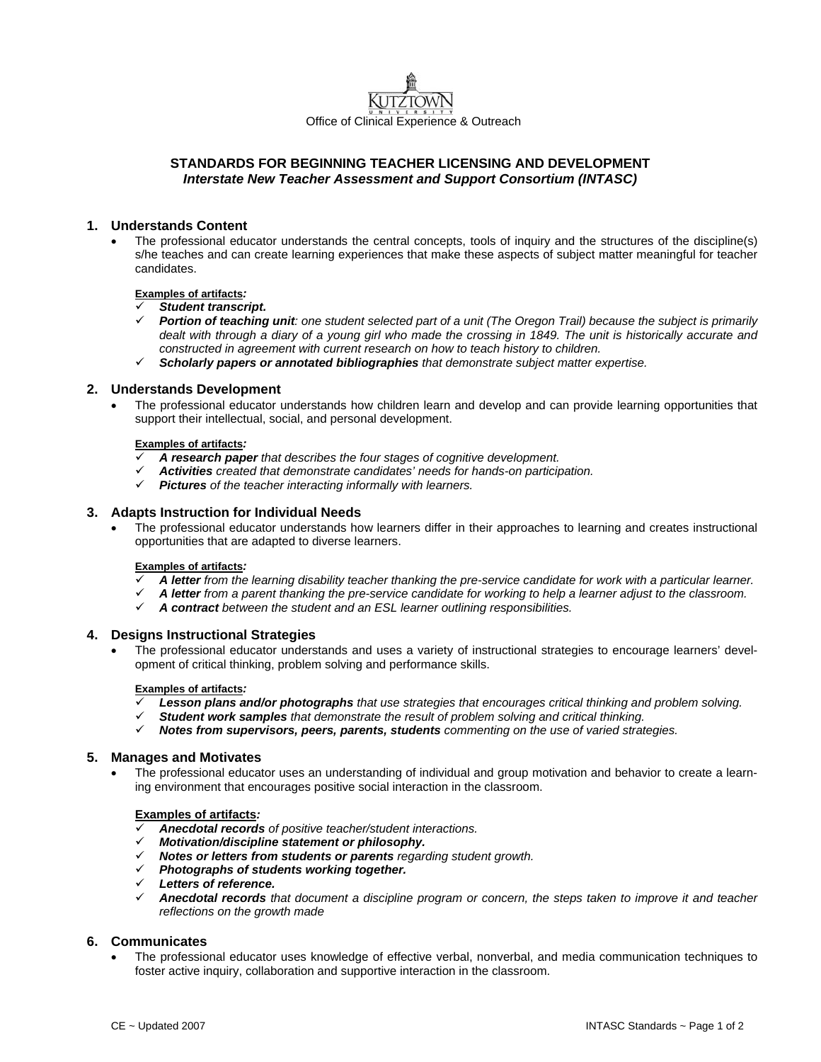

# **STANDARDS FOR BEGINNING TEACHER LICENSING AND DEVELOPMENT**  *Interstate New Teacher Assessment and Support Consortium (INTASC)*

# **1. Understands Content**

• The professional educator understands the central concepts, tools of inquiry and the structures of the discipline(s) s/he teaches and can create learning experiences that make these aspects of subject matter meaningful for teacher candidates.

#### **Examples of artifacts***:*

#### 9 *Student transcript.*

- 9 *Portion of teaching unit: one student selected part of a unit (The Oregon Trail) because the subject is primarily dealt with through a diary of a young girl who made the crossing in 1849. The unit is historically accurate and constructed in agreement with current research on how to teach history to children.*
- 9 *Scholarly papers or annotated bibliographies that demonstrate subject matter expertise.*

## **2. Understands Development**

• The professional educator understands how children learn and develop and can provide learning opportunities that support their intellectual, social, and personal development.

# **Examples of artifacts***:*

- 9 *A research paper that describes the four stages of cognitive development.*
- 9 *Activities created that demonstrate candidates' needs for hands-on participation.*
- 9 *Pictures of the teacher interacting informally with learners.*

## **3. Adapts Instruction for Individual Needs**

• The professional educator understands how learners differ in their approaches to learning and creates instructional opportunities that are adapted to diverse learners.

#### **Examples of artifacts***:*

- 9 *A letter from the learning disability teacher thanking the pre-service candidate for work with a particular learner.*
- 9 *A letter from a parent thanking the pre-service candidate for working to help a learner adjust to the classroom.*
- 9 *A contract between the student and an ESL learner outlining responsibilities.*

## **4. Designs Instructional Strategies**

• The professional educator understands and uses a variety of instructional strategies to encourage learners' development of critical thinking, problem solving and performance skills.

#### **Examples of artifacts***:*

- Lesson plans and/or photographs *that use strategies that encourages critical thinking and problem solving.*
- 9 *Student work samples that demonstrate the result of problem solving and critical thinking.*
- 9 *Notes from supervisors, peers, parents, students commenting on the use of varied strategies.*

## **5. Manages and Motivates**

• The professional educator uses an understanding of individual and group motivation and behavior to create a learning environment that encourages positive social interaction in the classroom.

## **Examples of artifacts***:*

- 9 *Anecdotal records of positive teacher/student interactions.*
- 9 *Motivation/discipline statement or philosophy.*
- 9 *Notes or letters from students or parents regarding student growth.*
- 9 *Photographs of students working together.*
- 9 *Letters of reference.*
- 9 *Anecdotal records that document a discipline program or concern, the steps taken to improve it and teacher reflections on the growth made*

## **6. Communicates**

• The professional educator uses knowledge of effective verbal, nonverbal, and media communication techniques to foster active inquiry, collaboration and supportive interaction in the classroom.